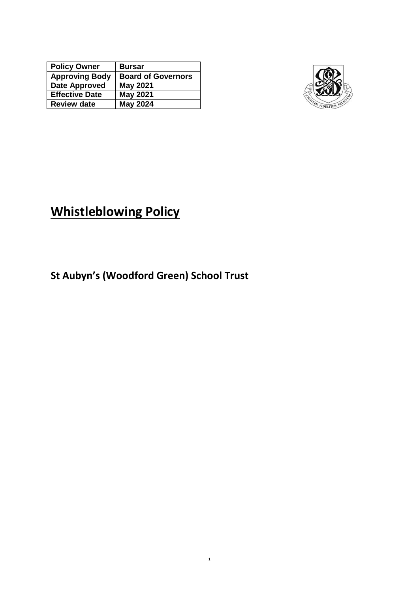| <b>Policy Owner</b>   | <b>Bursar</b>             |
|-----------------------|---------------------------|
| <b>Approving Body</b> | <b>Board of Governors</b> |
| Date Approved         | <b>May 2021</b>           |
| <b>Effective Date</b> | <b>May 2021</b>           |
| <b>Review date</b>    | <b>May 2024</b>           |



# **Whistleblowing Policy**

**St Aubyn's (Woodford Green) School Trust**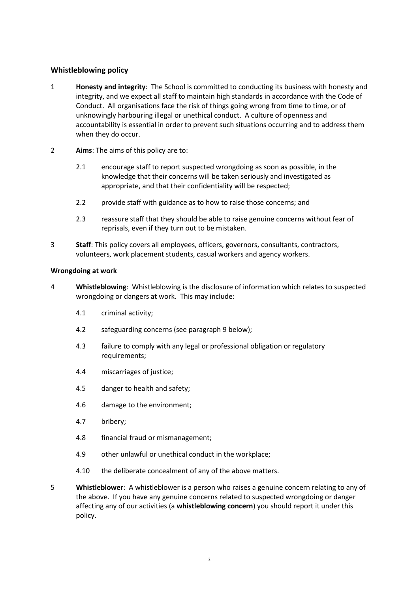# **Whistleblowing policy**

- 1 **Honesty and integrity**: The School is committed to conducting its business with honesty and integrity, and we expect all staff to maintain high standards in accordance with the Code of Conduct. All organisations face the risk of things going wrong from time to time, or of unknowingly harbouring illegal or unethical conduct. A culture of openness and accountability is essential in order to prevent such situations occurring and to address them when they do occur.
- 2 **Aims**: The aims of this policy are to:
	- 2.1 encourage staff to report suspected wrongdoing as soon as possible, in the knowledge that their concerns will be taken seriously and investigated as appropriate, and that their confidentiality will be respected;
	- 2.2 provide staff with guidance as to how to raise those concerns; and
	- 2.3 reassure staff that they should be able to raise genuine concerns without fear of reprisals, even if they turn out to be mistaken.
- 3 **Staff**: This policy covers all employees, officers, governors, consultants, contractors, volunteers, work placement students, casual workers and agency workers.

#### **Wrongdoing at work**

- 4 **Whistleblowing**: Whistleblowing is the disclosure of information which relates to suspected wrongdoing or dangers at work. This may include:
	- 4.1 criminal activity;
	- 4.2 safeguarding concerns (see paragrap[h 9](#page-2-0) below);
	- 4.3 failure to comply with any legal or professional obligation or regulatory requirements;
	- 4.4 miscarriages of justice;
	- 4.5 danger to health and safety;
	- 4.6 damage to the environment;
	- 4.7 bribery;
	- 4.8 financial fraud or mismanagement;
	- 4.9 other unlawful or unethical conduct in the workplace;
	- 4.10 the deliberate concealment of any of the above matters.
- 5 **Whistleblower**: A whistleblower is a person who raises a genuine concern relating to any of the above. If you have any genuine concerns related to suspected wrongdoing or danger affecting any of our activities (a **whistleblowing concern**) you should report it under this policy.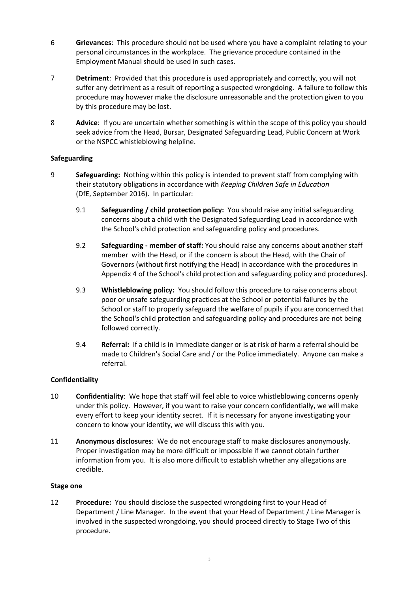- 6 **Grievances**: This procedure should not be used where you have a complaint relating to your personal circumstances in the workplace. The grievance procedure contained in the Employment Manual should be used in such cases.
- 7 **Detriment**: Provided that this procedure is used appropriately and correctly, you will not suffer any detriment as a result of reporting a suspected wrongdoing. A failure to follow this procedure may however make the disclosure unreasonable and the protection given to you by this procedure may be lost.
- 8 **Advice**: If you are uncertain whether something is within the scope of this policy you should seek advice from the Head, Bursar, Designated Safeguarding Lead, Public Concern at Work or the NSPCC whistleblowing helpline.

# **Safeguarding**

- <span id="page-2-0"></span>9 **Safeguarding:** Nothing within this policy is intended to prevent staff from complying with their statutory obligations in accordance with *Keeping Children Safe in Education* (DfE, September 2016). In particular:
	- 9.1 **Safeguarding / child protection policy:** You should raise any initial safeguarding concerns about a child with the Designated Safeguarding Lead in accordance with the School's child protection and safeguarding policy and procedures.
	- 9.2 **Safeguarding - member of staff:** You should raise any concerns about another staff member with the Head, or if the concern is about the Head, with the Chair of Governors (without first notifying the Head) in accordance with the procedures in Appendix 4 of the School's child protection and safeguarding policy and procedures].
	- 9.3 **Whistleblowing policy:** You should follow this procedure to raise concerns about poor or unsafe safeguarding practices at the School or potential failures by the School or staff to properly safeguard the welfare of pupils if you are concerned that the School's child protection and safeguarding policy and procedures are not being followed correctly.
	- 9.4 **Referral:** If a child is in immediate danger or is at risk of harm a referral should be made to Children's Social Care and / or the Police immediately. Anyone can make a referral.

# **Confidentiality**

- 10 **Confidentiality**: We hope that staff will feel able to voice whistleblowing concerns openly under this policy. However, if you want to raise your concern confidentially, we will make every effort to keep your identity secret. If it is necessary for anyone investigating your concern to know your identity, we will discuss this with you.
- 11 **Anonymous disclosures**: We do not encourage staff to make disclosures anonymously. Proper investigation may be more difficult or impossible if we cannot obtain further information from you. It is also more difficult to establish whether any allegations are credible.

#### **Stage one**

12 **Procedure:** You should disclose the suspected wrongdoing first to your Head of Department / Line Manager. In the event that your Head of Department / Line Manager is involved in the suspected wrongdoing, you should proceed directly to Stage Two of this procedure.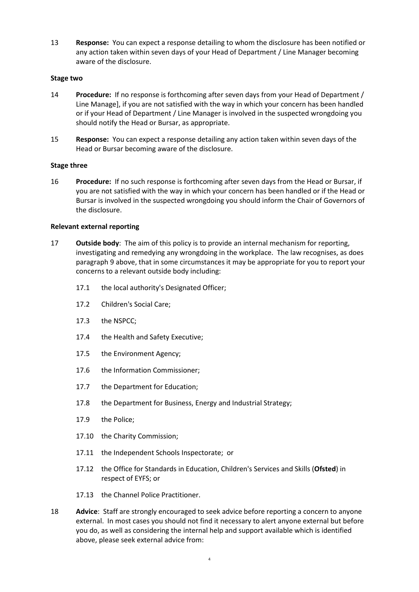13 **Response:** You can expect a response detailing to whom the disclosure has been notified or any action taken within seven days of your Head of Department / Line Manager becoming aware of the disclosure.

### **Stage two**

- 14 **Procedure:** If no response is forthcoming after seven days from your Head of Department / Line Manage], if you are not satisfied with the way in which your concern has been handled or if your Head of Department / Line Manager is involved in the suspected wrongdoing you should notify the Head or Bursar, as appropriate.
- 15 **Response:** You can expect a response detailing any action taken within seven days of the Head or Bursar becoming aware of the disclosure.

# **Stage three**

16 **Procedure:** If no such response is forthcoming after seven days from the Head or Bursar, if you are not satisfied with the way in which your concern has been handled or if the Head or Bursar is involved in the suspected wrongdoing you should inform the Chair of Governors of the disclosure.

# **Relevant external reporting**

- 17 **Outside body**: The aim of this policy is to provide an internal mechanism for reporting, investigating and remedying any wrongdoing in the workplace. The law recognises, as does paragrap[h 9](#page-2-0) above, that in some circumstances it may be appropriate for you to report your concerns to a relevant outside body including:
	- 17.1 the local authority's Designated Officer;
	- 17.2 Children's Social Care;
	- 17.3 the NSPCC;
	- 17.4 the Health and Safety Executive;
	- 17.5 the Environment Agency;
	- 17.6 the Information Commissioner;
	- 17.7 the Department for Education;
	- 17.8 the Department for Business, Energy and Industrial Strategy;
	- 17.9 the Police;
	- 17.10 the Charity Commission;
	- 17.11 the Independent Schools Inspectorate; or
	- 17.12 the Office for Standards in Education, Children's Services and Skills (**Ofsted**) in respect of EYFS; or
	- 17.13 the Channel Police Practitioner.
- 18 **Advice**: Staff are strongly encouraged to seek advice before reporting a concern to anyone external. In most cases you should not find it necessary to alert anyone external but before you do, as well as considering the internal help and support available which is identified above, please seek external advice from: